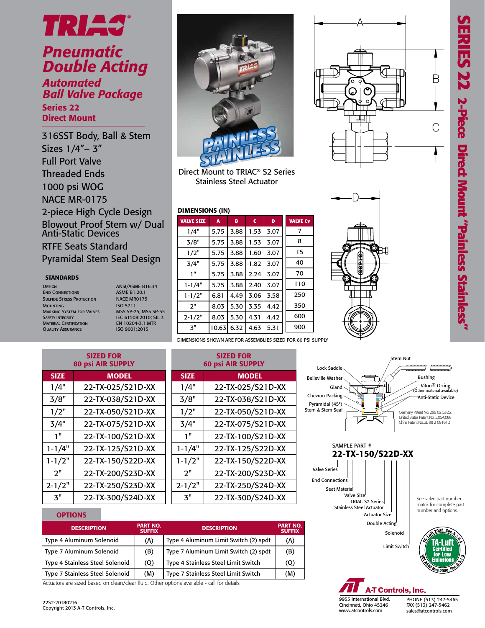Β

C



## *Pneumatic Double Acting*

Series 22 *Automated Ball Valve Package*

Direct Mount

316SST Body, Ball & Stem Sizes 1/4"– 3" Full Port Valve Threaded Ends 1000 psi WOG NACE MR-0175 2-piece High Cycle Design Blowout Proof Stem w/ Dual Anti-Static Devices RTFE Seats Standard Pyramidal Stem Seal Design

### **STANDARDS**

- DESIGN ANSI/ASME B16.34 **END CONNECTIONS** Sulfide Stress Protection NACE MR0175 Mounting ISO 5211<br>Marking System for Valves ISO 5211 MARKING SYSTEM FOR VALVES Safety Integrity<br>
Material Certification<br>
Quality Assurance<br>
EN 10204-3.1 M<br>
ISO 9001:2015 QUALITY ASSURANCE
	- IEC 61508:2010; SIL 3<br>EN 10204-3.1 MTR



Direct Mount to TRIAC® S2 Series Stainless Steel Actuator

### DIMENSIONS (IN)

| <b>VALVE SIZE</b> | $\overline{A}$ | B    | c    | D    | <b>VALVE Cv</b> |
|-------------------|----------------|------|------|------|-----------------|
| 1/4"              | 5.75           | 3.88 | 1.53 | 3.07 | 7               |
| 3/8"              | 5.75           | 3.88 | 1.53 | 3.07 | 8               |
| 1/2"              | 5.75           | 3.88 | 1.60 | 3.07 | 15              |
| 3/4"              | 5.75           | 3.88 | 1.82 | 3.07 | 40              |
| 1"                | 5.75           | 3.88 | 2.24 | 3.07 | 70              |
| $1 - 1/4"$        | 5.75           | 3.88 | 2.40 | 3.07 | 110             |
| $1 - 1/2"$        | 6.81           | 4.49 | 3.06 | 3.58 | 250             |
| 2"                | 8.03           | 5.30 | 3.35 | 4.42 | 350             |
| $2 - 1/2"$        | 8.03           | 5.30 | 4.31 | 4.42 | 600             |
| 3"                | 10.63          | 6.32 | 4.63 | 5.31 | 900             |
|                   |                |      |      |      |                 |

DIMENSIONS SHOWN ARE FOR ASSEMBLIES SIZED FOR 80 PSI SUPPLY

|             | <b>SIZED FOR</b><br><b>80 psi AIR SUPPLY</b> |             | <b>SIZED FOR</b><br><b>60 psi AIR SUPPLY</b> |
|-------------|----------------------------------------------|-------------|----------------------------------------------|
| <b>SIZE</b> | <b>MODEL</b>                                 | <b>SIZE</b> | <b>MODEL</b>                                 |
| 1/4"        | 22-TX-025/S21D-XX                            | 1/4"        | 22-TX-025/S21D-XX                            |
| 3/8"        | 22-TX-038/S21D-XX                            | 3/8"        | 22-TX-038/S21D-XX                            |
| 1/2"        | 22-TX-050/S21D-XX                            | 1/2"        | 22-TX-050/S21D-XX                            |
| 3/4"        | 22-TX-075/S21D-XX                            | 3/4"        | 22-TX-075/S21D-XX                            |
| 1"          | 22-TX-100/S21D-XX                            | 1"          | 22-TX-100/S21D-XX                            |
| $1 - 1/4"$  | 22-TX-125/S21D-XX                            | $1 - 1/4"$  | 22-TX-125/S22D-XX                            |
| $1 - 1/2"$  | 22-TX-150/S22D-XX                            | $1 - 1/2"$  | 22-TX-150/S22D-XX                            |
| 2"          | 22-TX-200/S23D-XX                            | 2"          | 22-TX-200/S23D-XX                            |
| $2 - 1/2"$  | 22-TX-250/S23D-XX                            | $2 - 1/2"$  | 22-TX-250/S24D-XX                            |
| 3"          | 22-TX-300/S24D-XX                            | 3"          | 22-TX-300/S24D-XX                            |





### **OPTIONS**

| <b>DESCRIPTION</b>              | <b>PART NO.</b><br><b>SUFFIX</b> | <b>DESCRIPTION</b>                    | <b>PART NO.</b><br><b>SUFFIX</b> |
|---------------------------------|----------------------------------|---------------------------------------|----------------------------------|
| Type 4 Aluminum Solenoid        | (A)                              | Type 4 Aluminum Limit Switch (2) spdt | (A)                              |
| Type 7 Aluminum Solenoid        | (B)                              | Type 7 Aluminum Limit Switch (2) spdt | (B)                              |
| Type 4 Stainless Steel Solenoid | (Q)                              | Type 4 Stainless Steel Limit Switch   | (Q)                              |
| Type 7 Stainless Steel Solenoid | (M)                              | Type 7 Stainless Steel Limit Switch   | (M)                              |

Actuators are sized based on clean/clear fluid. Other options available - call for details

9955 International Blvd. Cincinnati, Ohio 45246 www.atcontrols.com

PHONE (513) 247-5465 FAX (513) 247-5462 sales@atcontrols.com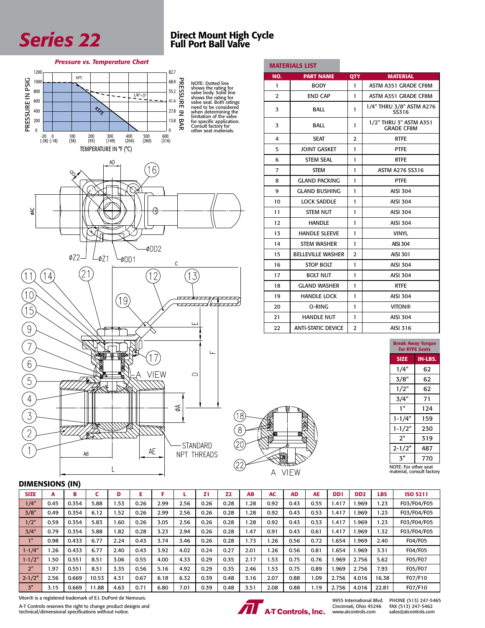

# Series 22 Direct Mount High Cycle<br>Full Port Ball Valve

### *Pressure vs. Temperature Chart*

![](_page_1_Figure_3.jpeg)

|                | <b>MATERIALS LIST</b>     |                |                                             |
|----------------|---------------------------|----------------|---------------------------------------------|
| NO.            | <b>PART NAME</b>          | QTY            | <b>MATERIAL</b>                             |
| 1              | <b>BODY</b>               | 1              | ASTM A351 GRADE CF8M                        |
| $\overline{2}$ | <b>END CAP</b>            | 1              | ASTM A351 GRADE CF8M                        |
| 3              | <b>BALL</b>               | 1              | 1/4" THRU 3/8" ASTM A276<br>SS316           |
| 3              | <b>BALL</b>               | 1              | 1/2" THRU 3" ASTM A351<br><b>GRADE CF8M</b> |
| 4              | <b>SEAT</b>               | $\overline{2}$ | <b>RTFE</b>                                 |
| 5              | <b>JOINT GASKET</b>       | 1              | <b>PTFE</b>                                 |
| 6              | <b>STEM SEAL</b>          | 1              | <b>RTFE</b>                                 |
| $\overline{7}$ | <b>STEM</b>               | 1              | ASTM A276 SS316                             |
| 8              | <b>GLAND PACKING</b>      | 1              | <b>PTFE</b>                                 |
| 9              | <b>GLAND BUSHING</b>      | 1              | <b>AISI 304</b>                             |
| 10             | <b>LOCK SADDLE</b>        | 1              | <b>AISI 304</b>                             |
| 11             | <b>STEM NUT</b>           | 1              | <b>AISI 304</b>                             |
| 12             | <b>HANDLE</b>             | 1              | <b>AISI 304</b>                             |
| 13             | <b>HANDLE SLEEVE</b>      | 1              | <b>VINYL</b>                                |
| 14             | <b>STEM WASHER</b>        | 1              | <b>AISI 304</b>                             |
| 15             | <b>BELLEVILLE WASHER</b>  | $\overline{2}$ | <b>AISI 301</b>                             |
| 16             | <b>STOP BOLT</b>          | 1              | <b>AISI 304</b>                             |
| 17             | <b>BOLT NUT</b>           | 1              | <b>AISI 304</b>                             |
| 18             | <b>GLAND WASHER</b>       | 1              | <b>RTFE</b>                                 |
| 19             | <b>HANDLE LOCK</b>        | 1              | <b>AISI 304</b>                             |
| 20             | O-RING                    | 1              | <b>VITON®</b>                               |
| 21             | <b>HANDLE NUT</b>         | 1              | <b>AISI 304</b>                             |
| 22             | <b>ANTI-STATIC DEVICE</b> | 2              | AISI 316                                    |

![](_page_1_Figure_5.jpeg)

### DIMENSIONS (IN)

| <b>SIZE</b>    | A    | в     |       | D    |      |      |      | Z1   | Z2   | <b>AB</b> | <b>AC</b> | <b>AD</b> | <b>AE</b> | D <sub>D</sub> 1 | D <sub>D</sub> <sub>2</sub> | LBS   | <b>ISO 5211</b> |
|----------------|------|-------|-------|------|------|------|------|------|------|-----------|-----------|-----------|-----------|------------------|-----------------------------|-------|-----------------|
| 1/4"           | 0.45 | 0.354 | 5.88  | .53  | 0.26 | 2.99 | 2.56 | 0.26 | 0.28 | .28       | 0.92      | 0.43      | 0.55      | .417             | .969                        | .23   | F03/F04/F05     |
| 3/8"           | 0.49 | 0.354 | 6.12  | .52  | 0.26 | 2.99 | 2.56 | 0.26 | 0.28 | .28       | 0.92      | 0.43      | 0.53      | .417             | .969                        | .23   | F03/F04/F05     |
| 1/2"           | 0.59 | 0.354 | 5.83  | 1.60 | 0.26 | 3.05 | 2.56 | 0.26 | 0.28 | .28       | 0.92      | 0.43      | 0.53      | .417             | .969                        | .23   | F03/F04/F05     |
| 3/4"           | 0.79 | 0.354 | 5.88  | 1.82 | 0.28 | 3.23 | 2.94 | 0.26 | 0.28 | 1.47      | 0.91      | 0.43      | 0.61      | .417             | .969                        | .32   | F03/F04/F05     |
| 11             | 0.98 | 0.433 | 6.77  | 2.24 | 0.43 | 3.74 | 3.46 | 0.26 | 0.28 | 1.73      | 26. ا     | 0.56      | 0.72      | .654             | .969                        | 2.40  | F04/F05         |
| $1 - 1/4"$     | .26  | 0.433 | 6.77  | 2.40 | 0.43 | 3.92 | 4.02 | 0.24 | 0.27 | 2.01      | .26       | 0.56      | 0.81      | .654             | .969                        | 3.31  | F04/F05         |
| $1 - 1/2"$     | .50  | 0.551 | 8.51  | 3.06 | 0.55 | 4.00 | 4.33 | 0.29 | 0.35 | 2.17      | .53       | 0.75      | 0.76      | .969             | 2.756                       | 5.62  | F05/F07         |
| 2"             | . 97 | 0.551 | 8.51  | 3.35 | 0.56 | 5.16 | 4.92 | 0.29 | 0.35 | 2.46      | 1.53      | 0.75      | 0.89      | .969             | 2.756                       | 7.93  | F05/F07         |
| $2 - 1/2"$     | 2.56 | 0.669 | 10.53 | 4.31 | 0.67 | 6.18 | 6.32 | 0.39 | 0.48 | 3.16      | 2.07      | 0.88      | 0.09      | 2.756            | 4.016                       | 16.38 | F07/F10         |
| 3 <sup>n</sup> | 3.15 | 0.669 | 11.88 | 4.63 | 0.71 | 6.80 | 7.01 | 0.39 | 0.48 | 3.51      | 2.08      | 0.88      | 1.19      | 2.756            | 4.016                       | 22.81 | F07/F10         |

A-T Controls reserves the right to change product designs and technical/dimensional specifications without notice. Viton® is a registered trademark of E.I. DuPont de Nemours.

![](_page_1_Picture_9.jpeg)

A VIEW

9955 International Blvd. Cincinnati, Ohio 45246 www.atcontrols.com

PHONE (513) 247-5465 FAX (513) 247-5462 sales@atcontrols.com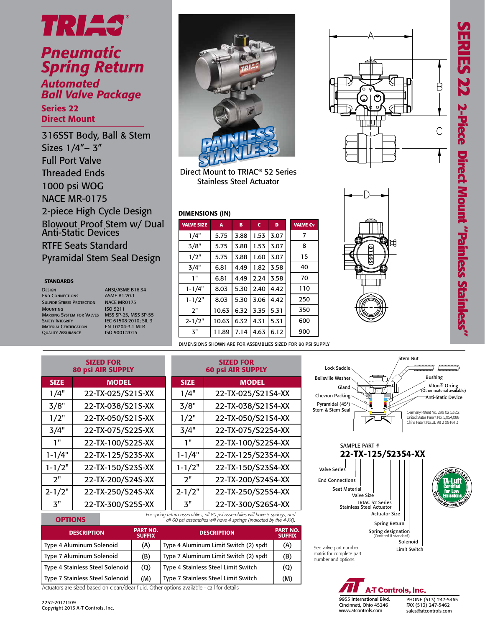![](_page_2_Picture_1.jpeg)

### *Pneumatic Spring Return Automated Ball Valve Package*

Series 22 Direct Mount

316SST Body, Ball & Stem Sizes 1/4"– 3" Full Port Valve Threaded Ends 1000 psi WOG NACE MR-0175 2-piece High Cycle Design Blowout Proof Stem w/ Dual Anti-Static Devices RTFE Seats Standard Pyramidal Stem Seal Design

### **STANDARDS**

Design ANSI/ASME B16.34<br>
End Connections ASME B1.20.1 **END CONNECTIONS** ASME B1.20.1<br>SULFIDE STRESS PROTECTION NACE MR0175 **SULFIDE STRESS PROTECTION** Mounting ISO 5211 Marking System for Valves MSS SP-25, MSS SP-55 Safety Integrity IEC 61508:2010; SIL 3 MATERIAL CERTIFICATION EN 10204-3.1 N<br>QUALITY ASSURANCE 150 9001:2015 QUALITY ASSURANCE

![](_page_2_Picture_8.jpeg)

Direct Mount to TRIAC® S2 Series Stainless Steel Actuator

### DIMENSIONS (IN)

| <b>VALVE SIZE</b> | A     | в    | c            | D    | <b>VALVE Cv</b> |
|-------------------|-------|------|--------------|------|-----------------|
| 1/4"              | 5.75  | 3.88 | 1.53         | 3.07 | 7               |
| 3/8"              | 5.75  | 3.88 | 1.53         | 3.07 | 8               |
| 1/2"              | 5.75  | 3.88 | 1.60         | 3.07 | 15              |
| 3/4"              | 6.81  | 4.49 | 1.82<br>3.58 |      | 40              |
| 1"                | 6.81  | 4.49 | 2.24         | 3.58 | 70              |
| 1-1/4"            | 8.03  | 5.30 | 2.40         | 4.42 | 110             |
| $1 - 1/2"$        | 8.03  | 5.30 | 3.06         | 4.42 | 250             |
| 2"                | 10.63 | 6.32 | 3.35         | 5.31 | 350             |
| $2 - 1/2"$        | 10.63 | 6.32 | 4.31         | 5.31 | 600             |
| 3"                | 11.89 | 7.14 | 4.63         | 6.12 | 900             |

DIMENSIONS SHOWN ARE FOR ASSEMBLIES SIZED FOR 80 PSI SUPPLY

| <b>SIZED FOR</b><br><b>80 psi AIR SUPPLY</b> |                   |  |  |  |  |  |  |  |
|----------------------------------------------|-------------------|--|--|--|--|--|--|--|
| <b>SIZE</b>                                  | <b>MODEL</b>      |  |  |  |  |  |  |  |
| 1/4"                                         | 22-TX-025/S21S-XX |  |  |  |  |  |  |  |
| 3/8"                                         | 22-TX-038/S21S-XX |  |  |  |  |  |  |  |
| 1/2"                                         | 22-TX-050/S21S-XX |  |  |  |  |  |  |  |
| 3/4"                                         | 22-TX-075/S22S-XX |  |  |  |  |  |  |  |
| יי 1                                         | 22-TX-100/S22S-XX |  |  |  |  |  |  |  |
| $1 - 1/4"$                                   | 22-TX-125/S23S-XX |  |  |  |  |  |  |  |
| $1 - 1/2"$                                   | 22-TX-150/S23S-XX |  |  |  |  |  |  |  |
| 2"                                           | 22-TX-200/S24S-XX |  |  |  |  |  |  |  |
| $2 - 1/2"$                                   | 22-TX-250/S24S-XX |  |  |  |  |  |  |  |
| א"                                           | 22-TX-300/S25S-XX |  |  |  |  |  |  |  |

| SIZED FUR<br><b>60 psi AIR SUPPLY</b>                             |  |  |  |  |  |  |  |  |  |
|-------------------------------------------------------------------|--|--|--|--|--|--|--|--|--|
| <b>MODEL</b>                                                      |  |  |  |  |  |  |  |  |  |
| 22-TX-025/S21S4-XX                                                |  |  |  |  |  |  |  |  |  |
| 22-TX-038/S21S4-XX                                                |  |  |  |  |  |  |  |  |  |
| 22-TX-050/S21S4-XX                                                |  |  |  |  |  |  |  |  |  |
| 22-TX-075/S22S4-XX                                                |  |  |  |  |  |  |  |  |  |
| 22-TX-100/S22S4-XX                                                |  |  |  |  |  |  |  |  |  |
| 22-TX-125/S23S4-XX                                                |  |  |  |  |  |  |  |  |  |
| 22-TX-150/S23S4-XX                                                |  |  |  |  |  |  |  |  |  |
| 22-TX-200/S24S4-XX                                                |  |  |  |  |  |  |  |  |  |
| 22-TX-250/S25S4-XX                                                |  |  |  |  |  |  |  |  |  |
| 22-TX-300/S26S4-XX                                                |  |  |  |  |  |  |  |  |  |
| roturn assembling, all 80 psi assembling will bayo 5 springs, and |  |  |  |  |  |  |  |  |  |

SIZED FOR

*For spring return assemblies, all 80 psi assemblies will have 5 springs, and all 60 psi assemblies will have 4 springs (indicated by the 4-XX).*

| <b>DESCRIPTION</b>              | <b>PART NO.</b><br><b>SUFFIX</b> | <b>DESCRIPTION</b>                    | <b>PART NO.</b><br><b>SUFFIX</b> |
|---------------------------------|----------------------------------|---------------------------------------|----------------------------------|
| Type 4 Aluminum Solenoid        | (A)                              | Type 4 Aluminum Limit Switch (2) spdt | (A)                              |
| Type 7 Aluminum Solenoid        | (B)                              | Type 7 Aluminum Limit Switch (2) spdt | (B)                              |
| Type 4 Stainless Steel Solenoid | (Q)                              | Type 4 Stainless Steel Limit Switch   | (Q)                              |
| Type 7 Stainless Steel Solenoid | (M)                              | Type 7 Stainless Steel Limit Switch   | (M)                              |

Actuators are sized based on clean/clear fluid. Other options available - call for details

**OPTIONS** 

![](_page_2_Picture_19.jpeg)

![](_page_2_Picture_20.jpeg)

![](_page_2_Figure_21.jpeg)

![](_page_2_Figure_22.jpeg)

**A-T Controls, Inc.** 

PHONE (513) 247-5465 FAX (513) 247-5462 sales@atcontrols.com

9955 International Blvd. Cincinnati, Ohio 45246 www.atcontrols.com